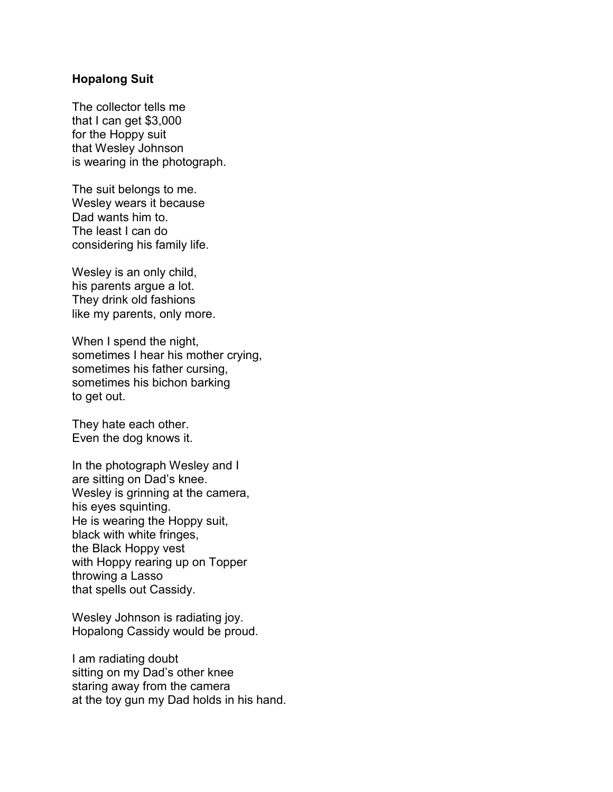## **Hopalong Suit**

The collector tells me that I can get \$3,000 for the Hoppy suit that Wesley Johnson is wearing in the photograph.

The suit belongs to me. Wesley wears it because Dad wants him to. The least I can do considering his family life.

Wesley is an only child, his parents argue a lot. They drink old fashions like my parents, only more.

When I spend the night, sometimes I hear his mother crying, sometimes his father cursing, sometimes his bichon barking to get out.

They hate each other. Even the dog knows it.

In the photograph Wesley and I are sitting on Dad's knee. Wesley is grinning at the camera, his eyes squinting. He is wearing the Hoppy suit, black with white fringes, the Black Hoppy vest with Hoppy rearing up on Topper throwing a Lasso that spells out Cassidy.

Wesley Johnson is radiating joy. Hopalong Cassidy would be proud.

I am radiating doubt sitting on my Dad's other knee staring away from the camera at the toy gun my Dad holds in his hand.